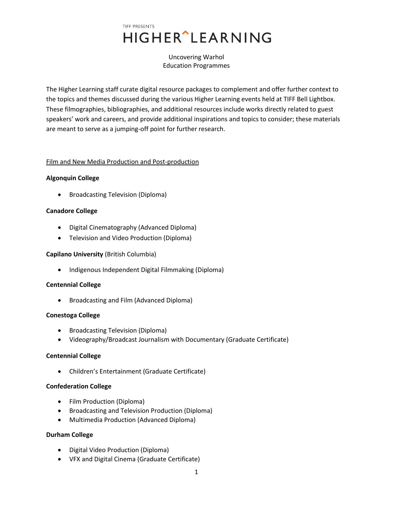Uncovering Warhol Education Programmes

The Higher Learning staff curate digital resource packages to complement and offer further context to the topics and themes discussed during the various Higher Learning events held at TIFF Bell Lightbox. These filmographies, bibliographies, and additional resources include works directly related to guest speakers' work and careers, and provide additional inspirations and topics to consider; these materials are meant to serve as a jumping-off point for further research.

# Film and New Media Production and Post-production

# **Algonquin College**

Broadcasting Television (Diploma)

# **Canadore College**

- Digital Cinematography (Advanced Diploma)
- Television and Video Production (Diploma)

# **Capilano University** (British Columbia)

• Indigenous Independent Digital Filmmaking (Diploma)

# **Centennial College**

Broadcasting and Film (Advanced Diploma)

# **Conestoga College**

- Broadcasting Television (Diploma)
- Videography/Broadcast Journalism with Documentary (Graduate Certificate)

# **Centennial College**

Children's Entertainment (Graduate Certificate)

# **Confederation College**

- Film Production (Diploma)
- Broadcasting and Television Production (Diploma)
- Multimedia Production (Advanced Diploma)

# **Durham College**

- Digital Video Production (Diploma)
- VFX and Digital Cinema (Graduate Certificate)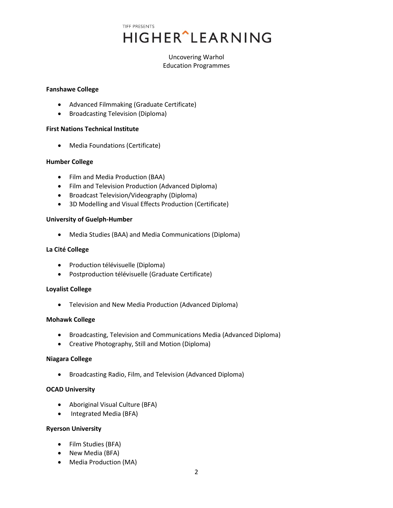# Uncovering Warhol Education Programmes

## **Fanshawe College**

- Advanced Filmmaking (Graduate Certificate)
- Broadcasting Television (Diploma)

# **First Nations Technical Institute**

Media Foundations (Certificate)

## **Humber College**

- Film and Media Production (BAA)
- Film and Television Production (Advanced Diploma)
- Broadcast Television/Videography (Diploma)
- 3D Modelling and Visual Effects Production (Certificate)

## **University of Guelph-Humber**

Media Studies (BAA) and Media Communications (Diploma)

## **La Cité College**

- Production télévisuelle (Diploma)
- Postproduction télévisuelle (Graduate Certificate)

# **Loyalist College**

Television and New Media Production (Advanced Diploma)

# **Mohawk College**

- Broadcasting, Television and Communications Media (Advanced Diploma)
- Creative Photography, Still and Motion (Diploma)

# **Niagara College**

Broadcasting Radio, Film, and Television (Advanced Diploma)

# **OCAD University**

- Aboriginal Visual Culture (BFA)
- Integrated Media (BFA)

# **Ryerson University**

- Film Studies (BFA)
- New Media (BFA)
- Media Production (MA)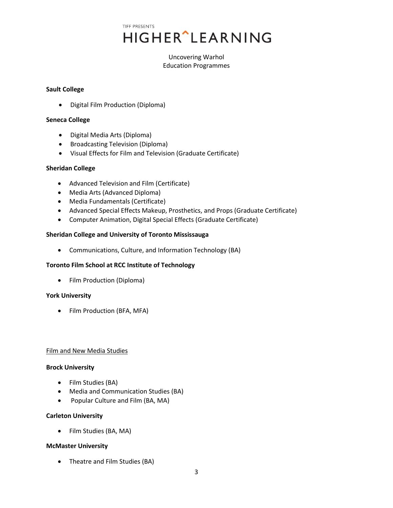# Uncovering Warhol Education Programmes

## **Sault College**

Digital Film Production (Diploma)

## **Seneca College**

- Digital Media Arts (Diploma)
- **•** Broadcasting Television (Diploma)
- Visual Effects for Film and Television (Graduate Certificate)

# **Sheridan College**

- Advanced Television and Film (Certificate)
- Media Arts (Advanced Diploma)
- Media Fundamentals (Certificate)
- Advanced Special Effects Makeup, Prosthetics, and Props (Graduate Certificate)
- Computer Animation, Digital Special Effects (Graduate Certificate)

# **Sheridan College and University of Toronto Mississauga**

Communications, Culture, and Information Technology (BA)

# **Toronto Film School at RCC Institute of Technology**

• Film Production (Diploma)

# **York University**

• Film Production (BFA, MFA)

#### Film and New Media Studies

#### **Brock University**

- Film Studies (BA)
- Media and Communication Studies (BA)
- Popular Culture and Film (BA, MA)

#### **Carleton University**

Film Studies (BA, MA)

# **McMaster University**

• Theatre and Film Studies (BA)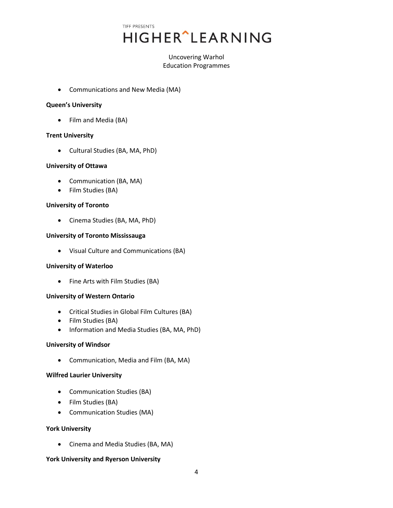TIFF PRESENTS **HIGHER**<sup>^</sup>LEARNING

# Uncovering Warhol Education Programmes

Communications and New Media (MA)

## **Queen's University**

• Film and Media (BA)

## **Trent University**

Cultural Studies (BA, MA, PhD)

## **University of Ottawa**

- Communication (BA, MA)
- Film Studies (BA)

#### **University of Toronto**

Cinema Studies (BA, MA, PhD)

## **University of Toronto Mississauga**

Visual Culture and Communications (BA)

#### **University of Waterloo**

• Fine Arts with Film Studies (BA)

#### **University of Western Ontario**

- Critical Studies in Global Film Cultures (BA)
- Film Studies (BA)
- Information and Media Studies (BA, MA, PhD)

#### **University of Windsor**

Communication, Media and Film (BA, MA)

#### **Wilfred Laurier University**

- Communication Studies (BA)
- Film Studies (BA)
- Communication Studies (MA)

#### **York University**

Cinema and Media Studies (BA, MA)

# **York University and Ryerson University**